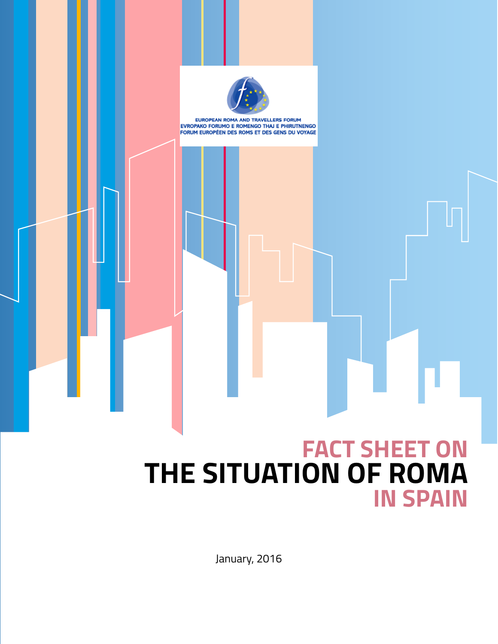

EUROPEAN ROMA AND TRAVELLERS FORUM EVROPAKO FORUMO E ROMENGO THAJ E PHIRUTNENGO FORUM EUROPÉEN DES ROMS ET DES GENS DU VOYAGE

# **FACT SHEET ON THE SITUATION OF ROMA IN SPAIN**

January, 2016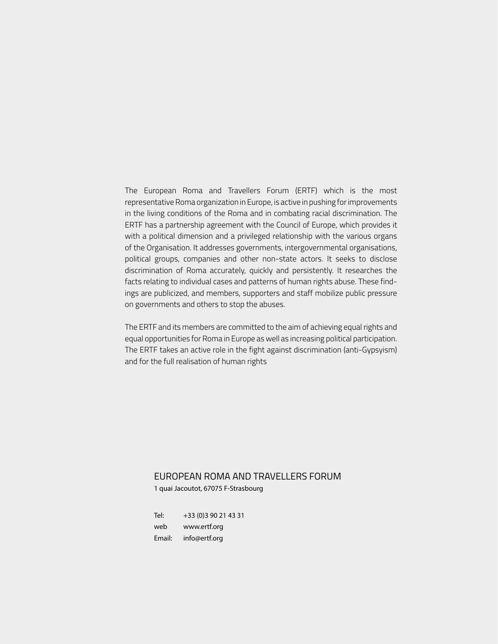The European Roma and Travellers Forum (ERTF) which is the most representative Roma organization in Europe, is active in pushing for improvements in the living conditions of the Roma and in combating racial discrimination. The ERTF has a partnership agreement with the Council of Europe, which provides it with a political dimension and a privileged relationship with the various organs of the Organisation. It addresses governments, intergovernmental organisations, political groups, companies and other non-state actors. It seeks to disclose discrimination of Roma accurately, quickly and persistently. It researches the facts relating to individual cases and patterns of human rights abuse. These findings are publicized, and members, supporters and staff mobilize public pressure on governments and others to stop the abuses.

The ERTF and its members are committed to the aim of achieving equal rights and equal opportunities for Roma in Europe as well as increasing political participation. The ERTF takes an active role in the fight against discrimination (anti-Gypsyism) and for the full realisation of human rights

#### EUROPEAN ROMA AND TRAVELLERS FORUM

1 quai Jacoutot, 67075 F-Strasbourg

Tel: +33 (0)3 90 21 43 31 web www.ertf.org Email: info@ertf.org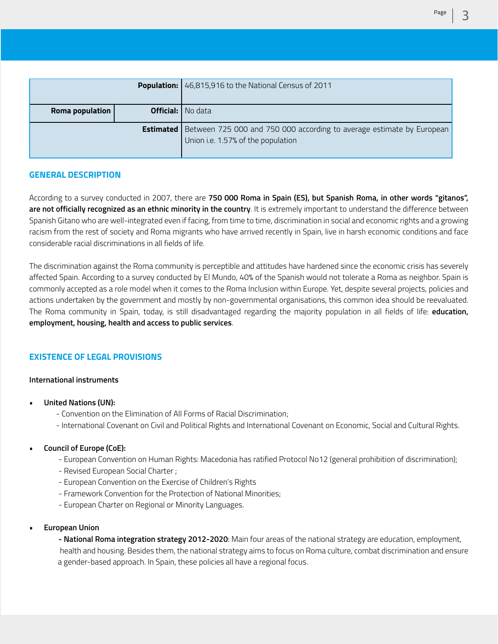|                 | <b>Population:</b> 46,815,916 to the National Census of 2011                                                                 |
|-----------------|------------------------------------------------------------------------------------------------------------------------------|
| Roma population | <b>Official:</b> I No data                                                                                                   |
|                 | <b>Estimated</b> Between 725 000 and 750 000 according to average estimate by European<br>Union i.e. 1.57% of the population |

# **GENERAL DESCRIPTION**

According to a survey conducted in 2007, there are **750 000 Roma in Spain (ES), but Spanish Roma, in other words "gitanos", are not officially recognized as an ethnic minority in the country**. It is extremely important to understand the difference between Spanish Gitano who are well-integrated even if facing, from time to time, discrimination in social and economic rights and a growing racism from the rest of society and Roma migrants who have arrived recently in Spain, live in harsh economic conditions and face considerable racial discriminations in all fields of life.

The discrimination against the Roma community is perceptible and attitudes have hardened since the economic crisis has severely affected Spain. According to a survey conducted by El Mundo, 40% of the Spanish would not tolerate a Roma as neighbor. Spain is commonly accepted as a role model when it comes to the Roma Inclusion within Europe. Yet, despite several projects, policies and actions undertaken by the government and mostly by non-governmental organisations, this common idea should be reevaluated. The Roma community in Spain, today, is still disadvantaged regarding the majority population in all fields of life: **education, employment, housing, health and access to public services**.

# **EXISTENCE OF LEGAL PROVISIONS**

#### **International instruments**

- **• United Nations (UN):**
	- Convention on the Elimination of All Forms of Racial Discrimination;
	- International Covenant on Civil and Political Rights and International Covenant on Economic, Social and Cultural Rights.
- **• Council of Europe (CoE):**
	- European Convention on Human Rights: Macedonia has ratified Protocol No12 (general prohibition of discrimination);
	- Revised European Social Charter ;
	- European Convention on the Exercise of Children's Rights
	- Framework Convention for the Protection of National Minorities;
	- European Charter on Regional or Minority Languages.
- **• European Union**

**- National Roma integration strategy 2012-2020**: Main four areas of the national strategy are education, employment, health and housing. Besides them, the national strategy aims to focus on Roma culture, combat discrimination and ensure a gender-based approach. In Spain, these policies all have a regional focus.

Page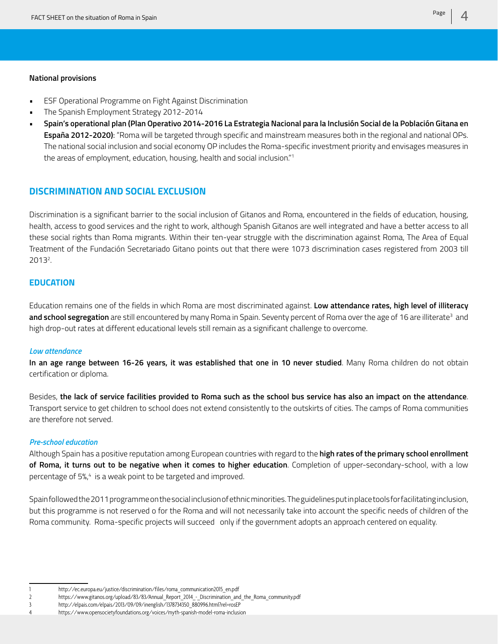#### **National provisions**

- ESF Operational Programme on Fight Against Discrimination
- The Spanish Employment Strategy 2012-2014
- **• Spain's operational plan (Plan Operativo 2014-2016 La Estrategia Nacional para la Inclusión Social de la Población Gitana en España 2012-2020)**: "Roma will be targeted through specific and mainstream measures both in the regional and national OPs. The national social inclusion and social economy OP includes the Roma-specific investment priority and envisages measures in the areas of employment, education, housing, health and social inclusion."1

# **DISCRIMINATION AND SOCIAL EXCLUSION**

Discrimination is a significant barrier to the social inclusion of Gitanos and Roma, encountered in the fields of education, housing, health, access to good services and the right to work, although Spanish Gitanos are well integrated and have a better access to all these social rights than Roma migrants. Within their ten-year struggle with the discrimination against Roma, The Area of Equal Treatment of the Fundación Secretariado Gitano points out that there were 1073 discrimination cases registered from 2003 till 20132 .

#### **EDUCATION**

Education remains one of the fields in which Roma are most discriminated against. **Low attendance rates, high level of illiteracy and school segregation** are still encountered by many Roma in Spain. Seventy percent of Roma over the age of 16 are illiterate<sup>3</sup> and high drop-out rates at different educational levels still remain as a significant challenge to overcome.

#### *Low attendance*

**In an age range between 16-26 years, it was established that one in 10 never studied**. Many Roma children do not obtain certification or diploma.

Besides, **the lack of service facilities provided to Roma such as the school bus service has also an impact on the attendance**. Transport service to get children to school does not extend consistently to the outskirts of cities. The camps of Roma communities are therefore not served.

#### *Pre-school education*

Although Spain has a positive reputation among European countries with regard to the **high rates of the primary school enrollment of Roma, it turns out to be negative when it comes to higher education**. Completion of upper-secondary-school, with a low percentage of 5%,4 is a weak point to be targeted and improved.

Spain followed the 2011 programme on the social inclusion of ethnic minorities. The guidelines put in place tools for facilitating inclusion, but this programme is not reserved o for the Roma and will not necessarily take into account the specific needs of children of the Roma community. Roma-specific projects will succeed only if the government adopts an approach centered on equality.

<sup>1</sup> http://ec.europa.eu/justice/discrimination/files/roma\_communication2015\_en.pdf

<sup>2</sup> https://www.gitanos.org/upload/83/83/Annual\_Report\_2014 - Discrimination\_and\_the\_Roma\_community.pdf

<sup>3</sup> http://elpais.com/elpais/2013/09/09/inenglish/1378734350\_880996.html?rel=rosEP

<sup>4</sup> https://www.opensocietyfoundations.org/voices/myth-spanish-model-roma-inclusion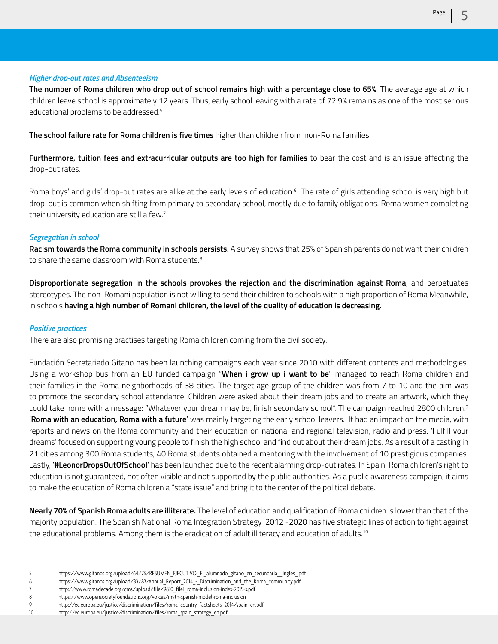#### *Higher drop-out rates and Absenteeism*

**The number of Roma children who drop out of school remains high with a percentage close to 65%**. The average age at which children leave school is approximately 12 years. Thus, early school leaving with a rate of 72.9% remains as one of the most serious educational problems to be addressed.<sup>5</sup>

**The school failure rate for Roma children is five times** higher than children from non-Roma families.

**Furthermore, tuition fees and extracurricular outputs are too high for families** to bear the cost and is an issue affecting the drop-out rates.

Roma boys' and girls' drop-out rates are alike at the early levels of education.<sup>6</sup> The rate of girls attending school is very high but drop-out is common when shifting from primary to secondary school, mostly due to family obligations. Roma women completing their university education are still a few.<sup>7</sup>

#### *Segregation in school*

**Racism towards the Roma community in schools persists**. A survey shows that 25% of Spanish parents do not want their children to share the same classroom with Roma students.<sup>8</sup>

**Disproportionate segregation in the schools provokes the rejection and the discrimination against Roma**, and perpetuates stereotypes. The non-Romani population is not willing to send their children to schools with a high proportion of Roma Meanwhile, in schools **having a high number of Romani children, the level of the quality of education is decreasing**.

#### *Positive practices*

There are also promising practises targeting Roma children coming from the civil society.

Fundación Secretariado Gitano has been launching campaigns each year since 2010 with different contents and methodologies. Using a workshop bus from an EU funded campaign "**When i grow up i want to be**" managed to reach Roma children and their families in the Roma neighborhoods of 38 cities. The target age group of the children was from 7 to 10 and the aim was to promote the secondary school attendance. Children were asked about their dream jobs and to create an artwork, which they could take home with a message: "Whatever your dream may be, finish secondary school". The campaign reached 2800 children.9 '**Roma with an education, Roma with a future**' was mainly targeting the early school leavers. It had an impact on the media, with reports and news on the Roma community and their education on national and regional television, radio and press. 'Fulfill your dreams' focused on supporting young people to finish the high school and find out about their dream jobs. As a result of a casting in 21 cities among 300 Roma students, 40 Roma students obtained a mentoring with the involvement of 10 prestigious companies. Lastly, '**#LeonorDropsOutOfSchool**' has been launched due to the recent alarming drop-out rates. In Spain, Roma children's right to education is not guaranteed, not often visible and not supported by the public authorities. As a public awareness campaign, it aims to make the education of Roma children a "state issue" and bring it to the center of the political debate.

**Nearly 70% of Spanish Roma adults are illiterate.** The level of education and qualification of Roma children is lower than that of the majority population. The Spanish National Roma Integration Strategy 2012 -2020 has five strategic lines of action to fight against the educational problems. Among them is the eradication of adult illiteracy and education of adults.<sup>10</sup>

- 5 https://www.gitanos.org/upload/64/76/RESUMEN\_EJECUTIVO.\_El\_alumnado\_gitano\_en\_secundaria\_\_ingles\_.pdf
- 6 https://www.gitanos.org/upload/83/83/Annual\_Report\_2014\_-\_Discrimination\_and\_the\_Roma\_community.pdf
- 7 http://www.romadecade.org/cms/upload/file/9810\_file1\_roma-inclusion-index-2015-s.pdf

<sup>8</sup> https://www.opensocietyfoundations.org/voices/myth-spanish-model-roma-inclusion

<sup>9</sup> http://ec.europa.eu/justice/discrimination/files/roma\_country\_factsheets\_2014/spain\_en.pdf

<sup>10</sup> http://ec.europa.eu/justice/discrimination/files/roma\_spain\_strategy\_en.pdf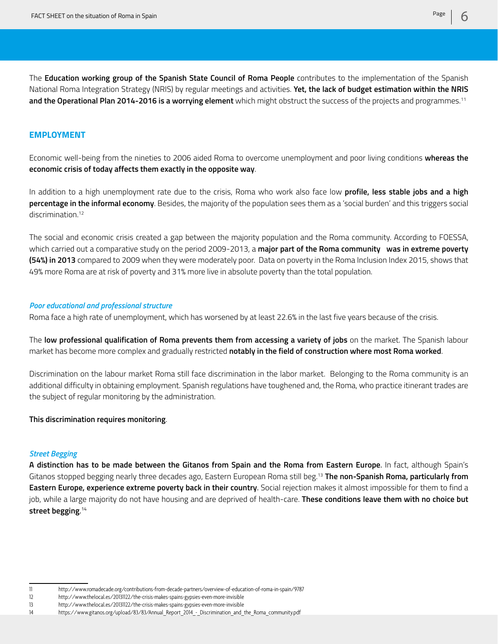The **Education working group of the Spanish State Council of Roma People** contributes to the implementation of the Spanish National Roma Integration Strategy (NRIS) by regular meetings and activities. **Yet, the lack of budget estimation within the NRIS and the Operational Plan 2014-2016 is a worrying element** which might obstruct the success of the projects and programmes.11

#### **EMPLOYMENT**

Economic well-being from the nineties to 2006 aided Roma to overcome unemployment and poor living conditions **whereas the economic crisis of today affects them exactly in the opposite way**.

In addition to a high unemployment rate due to the crisis, Roma who work also face low **profile, less stable jobs and a high percentage in the informal economy**. Besides, the majority of the population sees them as a 'social burden' and this triggers social discrimination.<sup>12</sup>

The social and economic crisis created a gap between the majority population and the Roma community. According to FOESSA, which carried out a comparative study on the period 2009-2013, a **major part of the Roma community was in extreme poverty (54%) in 2013** compared to 2009 when they were moderately poor. Data on poverty in the Roma Inclusion Index 2015, shows that 49% more Roma are at risk of poverty and 31% more live in absolute poverty than the total population.

#### *Poor educational and professional structure*

Roma face a high rate of unemployment, which has worsened by at least 22.6% in the last five years because of the crisis.

The **low professional qualification of Roma prevents them from accessing a variety of jobs** on the market. The Spanish labour market has become more complex and gradually restricted **notably in the field of construction where most Roma worked**.

Discrimination on the labour market Roma still face discrimination in the labor market. Belonging to the Roma community is an additional difficulty in obtaining employment. Spanish regulations have toughened and, the Roma, who practice itinerant trades are the subject of regular monitoring by the administration.

#### **This discrimination requires monitoring**.

#### *Street Begging*

**A distinction has to be made between the Gitanos from Spain and the Roma from Eastern Europe**. In fact, although Spain's Gitanos stopped begging nearly three decades ago, Eastern European Roma still beg.13 **The non-Spanish Roma, particularly from Eastern Europe, experience extreme poverty back in their country**. Social rejection makes it almost impossible for them to find a job, while a large majority do not have housing and are deprived of health-care. **These conditions leave them with no choice but street begging**. 14

<sup>11</sup> http://www.romadecade.org/contributions-from-decade-partners/overview-of-education-of-roma-in-spain/9787

<sup>12</sup> http://www.thelocal.es/20131122/the-crisis-makes-spains-gypsies-even-more-invisible

<sup>13</sup> http://www.thelocal.es/20131122/the-crisis-makes-spains-gypsies-even-more-invisible

<sup>14</sup> https://www.gitanos.org/upload/83/83/Annual\_Report\_2014\_-\_Discrimination\_and\_the\_Roma\_community.pdf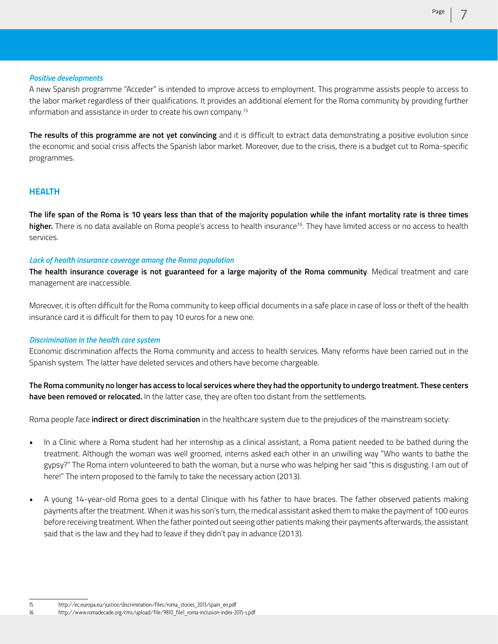#### *Positive developments*

A new Spanish programme "Acceder" is intended to improve access to employment. This programme assists people to access to the labor market regardless of their qualifications. It provides an additional element for the Roma community by providing further information and assistance in order to create his own company.15

**The results of this programme are not yet convincing** and it is difficult to extract data demonstrating a positive evolution since the economic and social crisis affects the Spanish labor market. Moreover, due to the crisis, there is a budget cut to Roma-specific programmes.

# **HEALTH**

**The life span of the Roma is 10 years less than that of the majority population while the infant mortality rate is three times**  higher. There is no data available on Roma people's access to health insurance<sup>16</sup>. They have limited access or no access to health services.

#### *Lack of health insurance coverage among the Roma population*

**The health insurance coverage is not guaranteed for a large majority of the Roma community**. Medical treatment and care management are inaccessible.

Moreover, it is often difficult for the Roma community to keep official documents in a safe place in case of loss or theft of the health insurance card it is difficult for them to pay 10 euros for a new one.

#### *Discrimination in the health care system*

Economic discrimination affects the Roma community and access to health services. Many reforms have been carried out in the Spanish system. The latter have deleted services and others have become chargeable.

**The Roma community no longer has access to local services where they had the opportunity to undergo treatment. These centers have been removed or relocated.** In the latter case, they are often too distant from the settlements.

Roma people face **indirect or direct discrimination** in the healthcare system due to the prejudices of the mainstream society:

- In a Clinic where a Roma student had her internship as a clinical assistant, a Roma patient needed to be bathed during the treatment. Although the woman was well groomed, interns asked each other in an unwilling way "Who wants to bathe the gypsy?" The Roma intern volunteered to bath the woman, but a nurse who was helping her said "this is disgusting. I am out of here!" The intern proposed to the family to take the necessary action (2013).
- A young 14-year-old Roma goes to a dental Clinique with his father to have braces. The father observed patients making payments after the treatment. When it was his son's turn, the medical assistant asked them to make the payment of 100 euros before receiving treatment. When the father pointed out seeing other patients making their payments afterwards, the assistant said that is the law and they had to leave if they didn't pay in advance (2013).

<sup>15</sup> http://ec.europa.eu/justice/discrimination/files/roma\_stories\_2013/spain\_en.pdf

<sup>16</sup> http://www.romadecade.org/cms/upload/file/9810\_file1\_roma-inclusion-index-2015-s.pdf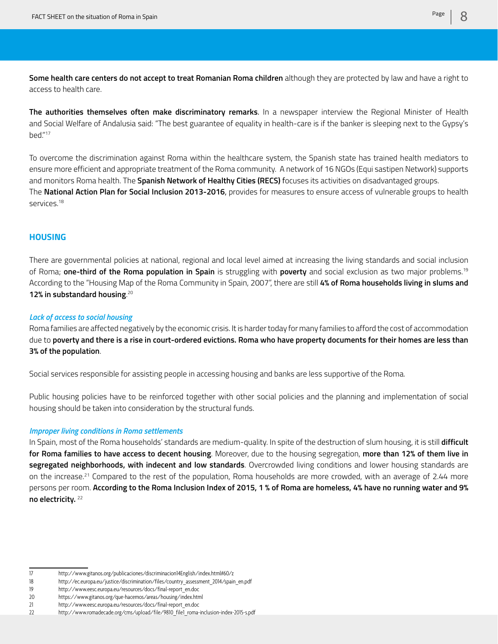**Some health care centers do not accept to treat Romanian Roma children** although they are protected by law and have a right to access to health care.

**The authorities themselves often make discriminatory remarks**. In a newspaper interview the Regional Minister of Health and Social Welfare of Andalusia said: "The best guarantee of equality in health-care is if the banker is sleeping next to the Gypsy's bed."17

To overcome the discrimination against Roma within the healthcare system, the Spanish state has trained health mediators to ensure more efficient and appropriate treatment of the Roma community. A network of 16 NGOs (Equi sastipen Network) supports and monitors Roma health. The **Spanish Network of Healthy Cities (RECS)** focuses its activities on disadvantaged groups. The **National Action Plan for Social Inclusion 2013-2016**, provides for measures to ensure access of vulnerable groups to health services.18

# **HOUSING**

There are governmental policies at national, regional and local level aimed at increasing the living standards and social inclusion of Roma; **one-third of the Roma population in Spain** is struggling with **poverty** and social exclusion as two major problems.19 According to the "Housing Map of the Roma Community in Spain, 2007", there are still **4% of Roma households living in slums and 12% in substandard housing**. 20

# *Lack of access to social housing*

Roma families are affected negatively by the economic crisis. It is harder today for many families to afford the cost of accommodation due to **poverty and there is a rise in court-ordered evictions. Roma who have property documents for their homes are less than 3% of the population**.

Social services responsible for assisting people in accessing housing and banks are less supportive of the Roma.

Public housing policies have to be reinforced together with other social policies and the planning and implementation of social housing should be taken into consideration by the structural funds.

#### *Improper living conditions in Roma settlements*

In Spain, most of the Roma households' standards are medium-quality. In spite of the destruction of slum housing, it is still **difficult for Roma families to have access to decent housing**. Moreover, due to the housing segregation, **more than 12% of them live in segregated neighborhoods, with indecent and low standards**. Overcrowded living conditions and lower housing standards are on the increase.21 Compared to the rest of the population, Roma households are more crowded, with an average of 2.44 more persons per room. **According to the Roma Inclusion Index of 2015, 1 % of Roma are homeless, 4% have no running water and 9% no electricity.** <sup>22</sup>

<sup>17</sup> http://www.gitanos.org/publicaciones/discriminacion14English/index.html#60/z

<sup>18</sup> http://ec.europa.eu/justice/discrimination/files/country\_assessment\_2014/spain\_en.pdf

<sup>19</sup> http://www.eesc.europa.eu/resources/docs/final-report\_en.doc

<sup>20</sup> https://www.gitanos.org/que-hacemos/areas/housing/index.html

<sup>21</sup> http://www.eesc.europa.eu/resources/docs/final-report\_en.doc

<sup>22</sup> http://www.romadecade.org/cms/upload/file/9810\_file1\_roma-inclusion-index-2015-s.pdf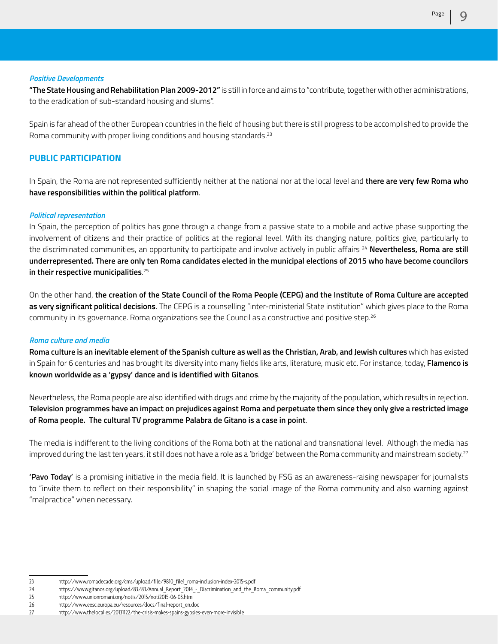**"The State Housing and Rehabilitation Plan 2009-2012"** is still in force and aims to "contribute, together with other administrations, to the eradication of sub-standard housing and slums".

Spain is far ahead of the other European countries in the field of housing but there is still progress to be accomplished to provide the Roma community with proper living conditions and housing standards.<sup>23</sup>

# **PUBLIC PARTICIPATION**

In Spain, the Roma are not represented sufficiently neither at the national nor at the local level and **there are very few Roma who have responsibilities within the political platform**.

#### *Political representation*

In Spain, the perception of politics has gone through a change from a passive state to a mobile and active phase supporting the involvement of citizens and their practice of politics at the regional level. With its changing nature, politics give, particularly to the discriminated communities, an opportunity to participate and involve actively in public affairs <sup>24</sup> Nevertheless, Roma are still **underrepresented. There are only ten Roma candidates elected in the municipal elections of 2015 who have become councilors in their respective municipalities**. 25

On the other hand, **the creation of the State Council of the Roma People (CEPG) and the Institute of Roma Culture are accepted as very significant political decisions**. The CEPG is a counselling "inter-ministerial State institution" which gives place to the Roma community in its governance. Roma organizations see the Council as a constructive and positive step.<sup>26</sup>

#### *Roma culture and media*

**Roma culture is an inevitable element of the Spanish culture as well as the Christian, Arab, and Jewish cultures** which has existed in Spain for 6 centuries and has brought its diversity into many fields like arts, literature, music etc. For instance, today, **Flamenco is known worldwide as a 'gypsy' dance and is identified with Gitanos**.

Nevertheless, the Roma people are also identified with drugs and crime by the majority of the population, which results in rejection. **Television programmes have an impact on prejudices against Roma and perpetuate them since they only give a restricted image of Roma people. The cultural TV programme Palabra de Gitano is a case in point**.

The media is indifferent to the living conditions of the Roma both at the national and transnational level. Although the media has improved during the last ten years, it still does not have a role as a 'bridge' between the Roma community and mainstream society.<sup>27</sup>

**'Pavo Today'** is a promising initiative in the media field. It is launched by FSG as an awareness-raising newspaper for journalists to "invite them to reflect on their responsibility" in shaping the social image of the Roma community and also warning against "malpractice" when necessary.

# *Positive Developments*

<sup>23</sup> http://www.romadecade.org/cms/upload/file/9810\_file1\_roma-inclusion-index-2015-s.pdf

<sup>24</sup> https://www.gitanos.org/upload/83/83/Annual\_Report\_2014\_-\_Discrimination\_and\_the\_Roma\_community.pdf

<sup>25</sup> http://www.unionromani.org/notis/2015/noti2015-06-03.htm

<sup>26</sup> http://www.eesc.europa.eu/resources/docs/final-report\_en.doc

<sup>27</sup> http://www.thelocal.es/20131122/the-crisis-makes-spains-gypsies-even-more-invisible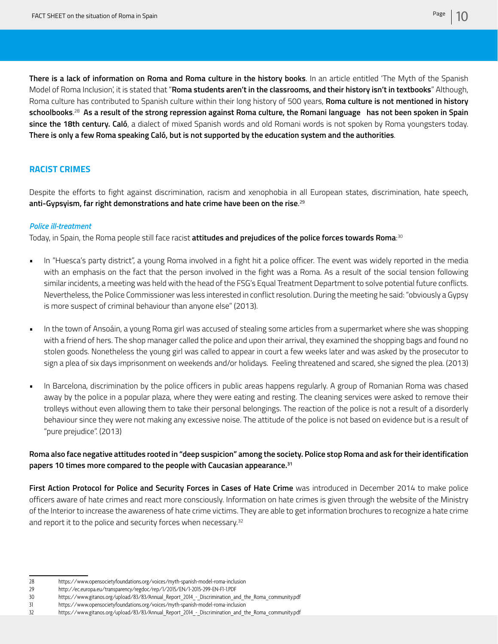**There is a lack of information on Roma and Roma culture in the history books**. In an article entitled 'The Myth of the Spanish Model of Roma Inclusion', it is stated that "**Roma students aren't in the classrooms, and their history isn't in textbooks**" Although, Roma culture has contributed to Spanish culture within their long history of 500 years, **Roma culture is not mentioned in history schoolbooks**. 28 **As a result of the strong repression against Roma culture, the Romani language has not been spoken in Spain since the 18th century. Caló**, a dialect of mixed Spanish words and old Romani words is not spoken by Roma youngsters today. **There is only a few Roma speaking Caló, but is not supported by the education system and the authorities**.

# **RACIST CRIMES**

Despite the efforts to fight against discrimination, racism and xenophobia in all European states, discrimination, hate speech, **anti-Gypsyism, far right demonstrations and hate crime have been on the rise**. 29

#### *Police ill-treatment*

Today, in Spain, the Roma people still face racist **attitudes and prejudices of the police forces towards Roma**: 30

- In "Huesca's party district", a young Roma involved in a fight hit a police officer. The event was widely reported in the media with an emphasis on the fact that the person involved in the fight was a Roma. As a result of the social tension following similar incidents, a meeting was held with the head of the FSG's Equal Treatment Department to solve potential future conflicts. Nevertheless, the Police Commissioner was less interested in conflict resolution. During the meeting he said: "obviously a Gypsy is more suspect of criminal behaviour than anyone else" (2013).
- In the town of Ansoáin, a young Roma girl was accused of stealing some articles from a supermarket where she was shopping with a friend of hers. The shop manager called the police and upon their arrival, they examined the shopping bags and found no stolen goods. Nonetheless the young girl was called to appear in court a few weeks later and was asked by the prosecutor to sign a plea of six days imprisonment on weekends and/or holidays. Feeling threatened and scared, she signed the plea. (2013)
- In Barcelona, discrimination by the police officers in public areas happens regularly. A group of Romanian Roma was chased away by the police in a popular plaza, where they were eating and resting. The cleaning services were asked to remove their trolleys without even allowing them to take their personal belongings. The reaction of the police is not a result of a disorderly behaviour since they were not making any excessive noise. The attitude of the police is not based on evidence but is a result of "pure prejudice". (2013)

**Roma also face negative attitudes rooted in "deep suspicion" among the society. Police stop Roma and ask for their identification papers 10 times more compared to the people with Caucasian appearance.31**

**First Action Protocol for Police and Security Forces in Cases of Hate Crime** was introduced in December 2014 to make police officers aware of hate crimes and react more consciously. Information on hate crimes is given through the website of the Ministry of the Interior to increase the awareness of hate crime victims. They are able to get information brochures to recognize a hate crime and report it to the police and security forces when necessary.<sup>32</sup>

<sup>28</sup> https://www.opensocietyfoundations.org/voices/myth-spanish-model-roma-inclusion

<sup>29</sup> http://ec.europa.eu/transparency/regdoc/rep/1/2015/EN/1-2015-299-EN-F1-1.PDF

<sup>30</sup> https://www.gitanos.org/upload/83/83/Annual Report 2014 - Discrimination and the Roma community.pdf

<sup>31</sup> https://www.opensocietyfoundations.org/voices/myth-spanish-model-roma-inclusion

<sup>32</sup> https://www.gitanos.org/upload/83/83/Annual\_Report\_2014\_-\_Discrimination\_and\_the\_Roma\_community.pdf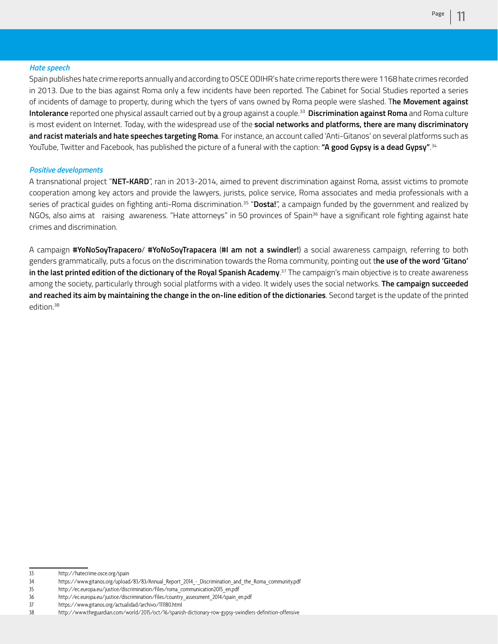#### *Hate speech*

Spain publishes hate crime reports annually and according to OSCE ODIHR's hate crime reports there were 1168 hate crimes recorded in 2013. Due to the bias against Roma only a few incidents have been reported. The Cabinet for Social Studies reported a series of incidents of damage to property, during which the tyers of vans owned by Roma people were slashed. T**he Movement against Intolerance** reported one physical assault carried out by a group against a couple.33 **Discrimination against Roma** and Roma culture is most evident on Internet. Today, with the widespread use of the **social networks and platforms, there are many discriminatory and racist materials and hate speeches targeting Roma**. For instance, an account called 'Anti-Gitanos' on several platforms such as YouTube, Twitter and Facebook, has published the picture of a funeral with the caption: **"A good Gypsy is a dead Gypsy"**. 34

#### *Positive developments*

A transnational project "**NET-KARD**", ran in 2013-2014, aimed to prevent discrimination against Roma, assist victims to promote cooperation among key actors and provide the lawyers, jurists, police service, Roma associates and media professionals with a series of practical guides on fighting anti-Roma discrimination.35 "**Dosta!**", a campaign funded by the government and realized by NGOs, also aims at raising awareness. "Hate attorneys" in 50 provinces of Spain<sup>36</sup> have a significant role fighting against hate crimes and discrimination.

A campaign **#YoNoSoyTrapacero**/ **#YoNoSoyTrapacera** (**#I am not a swindler!**) a social awareness campaign, referring to both genders grammatically, puts a focus on the discrimination towards the Roma community, pointing out t**he use of the word 'Gitano' in the last printed edition of the dictionary of the Royal Spanish Academy**. 37 The campaign's main objective is to create awareness among the society, particularly through social platforms with a video. It widely uses the social networks. **The campaign succeeded and reached its aim by maintaining the change in the on-line edition of the dictionaries**. Second target is the update of the printed edition.<sup>38</sup>

<sup>33</sup> http://hatecrime.osce.org/spain

<sup>34</sup> https://www.gitanos.org/upload/83/83/Annual\_Report\_2014\_-\_Discrimination\_and\_the\_Roma\_community.pdf

<sup>35</sup> http://ec.europa.eu/justice/discrimination/files/roma\_communication2015\_en.pdf

<sup>36</sup> http://ec.europa.eu/justice/discrimination/files/country\_assessment\_2014/spain\_en.pdf

<sup>37</sup> https://www.gitanos.org/actualidad/archivo/111180.html

<sup>38</sup> http://www.theguardian.com/world/2015/oct/16/spanish-dictionary-row-gypsy-swindlers-definition-offensive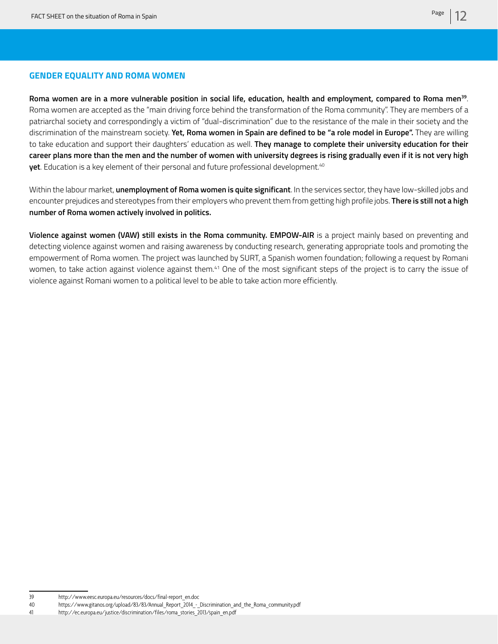# **GENDER EQUALITY AND ROMA WOMEN**

**Roma women are in a more vulnerable position in social life, education, health and employment, compared to Roma men39**. Roma women are accepted as the "main driving force behind the transformation of the Roma community". They are members of a patriarchal society and correspondingly a victim of "dual-discrimination" due to the resistance of the male in their society and the discrimination of the mainstream society. **Yet, Roma women in Spain are defined to be "a role model in Europe".** They are willing to take education and support their daughters' education as well. **They manage to complete their university education for their career plans more than the men and the number of women with university degrees is rising gradually even if it is not very high yet**. Education is a key element of their personal and future professional development.40

Within the labour market, **unemployment of Roma women is quite significant**. In the services sector, they have low-skilled jobs and encounter prejudices and stereotypes from their employers who prevent them from getting high profile jobs. **There is still not a high number of Roma women actively involved in politics.**

**Violence against women (VAW) still exists in the Roma community. EMPOW-AIR** is a project mainly based on preventing and detecting violence against women and raising awareness by conducting research, generating appropriate tools and promoting the empowerment of Roma women. The project was launched by SURT, a Spanish women foundation; following a request by Romani women, to take action against violence against them.<sup>41</sup> One of the most significant steps of the project is to carry the issue of violence against Romani women to a political level to be able to take action more efficiently.

<sup>39</sup> http://www.eesc.europa.eu/resources/docs/final-report\_en.doc

<sup>40</sup> https://www.gitanos.org/upload/83/83/Annual\_Report\_2014\_-\_Discrimination\_and\_the\_Roma\_community.pdf

<sup>41</sup> http://ec.europa.eu/justice/discrimination/files/roma\_stories\_2013/spain\_en.pdf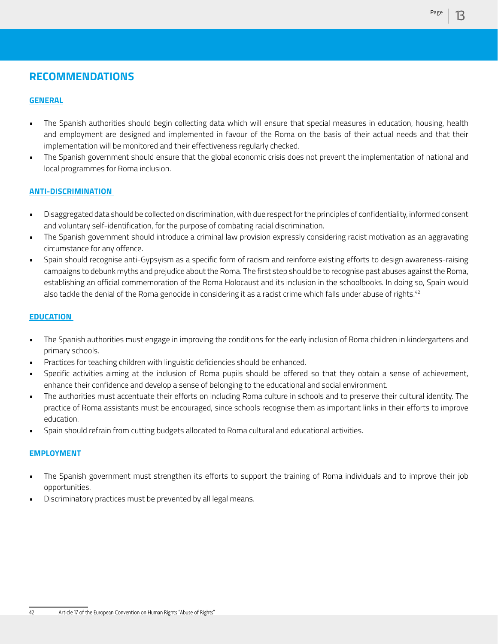# **RECOMMENDATIONS**

# **GENERAL**

- The Spanish authorities should begin collecting data which will ensure that special measures in education, housing, health and employment are designed and implemented in favour of the Roma on the basis of their actual needs and that their implementation will be monitored and their effectiveness regularly checked.
- The Spanish government should ensure that the global economic crisis does not prevent the implementation of national and local programmes for Roma inclusion.

# **ANTI-DISCRIMINATION**

- Disaggregated data should be collected on discrimination, with due respect for the principles of confidentiality, informed consent and voluntary self-identification, for the purpose of combating racial discrimination.
- The Spanish government should introduce a criminal law provision expressly considering racist motivation as an aggravating circumstance for any offence.
- Spain should recognise anti-Gypsyism as a specific form of racism and reinforce existing efforts to design awareness-raising campaigns to debunk myths and prejudice about the Roma. The first step should be to recognise past abuses against the Roma, establishing an official commemoration of the Roma Holocaust and its inclusion in the schoolbooks. In doing so, Spain would also tackle the denial of the Roma genocide in considering it as a racist crime which falls under abuse of rights.<sup>42</sup>

# **EDUCATION**

- The Spanish authorities must engage in improving the conditions for the early inclusion of Roma children in kindergartens and primary schools.
- Practices for teaching children with linguistic deficiencies should be enhanced.
- Specific activities aiming at the inclusion of Roma pupils should be offered so that they obtain a sense of achievement, enhance their confidence and develop a sense of belonging to the educational and social environment.
- The authorities must accentuate their efforts on including Roma culture in schools and to preserve their cultural identity. The practice of Roma assistants must be encouraged, since schools recognise them as important links in their efforts to improve education.
- Spain should refrain from cutting budgets allocated to Roma cultural and educational activities.

# **EMPLOYMENT**

- The Spanish government must strengthen its efforts to support the training of Roma individuals and to improve their job opportunities.
- Discriminatory practices must be prevented by all legal means.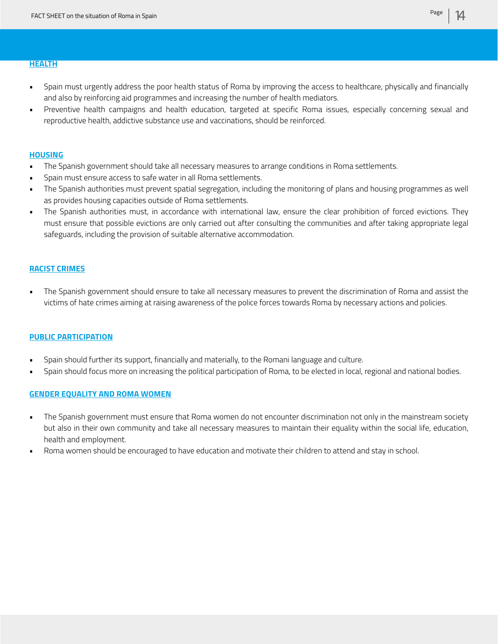#### **HEALTH**

- Spain must urgently address the poor health status of Roma by improving the access to healthcare, physically and financially and also by reinforcing aid programmes and increasing the number of health mediators.
- Preventive health campaigns and health education, targeted at specific Roma issues, especially concerning sexual and reproductive health, addictive substance use and vaccinations, should be reinforced.

#### **HOUSING**

- The Spanish government should take all necessary measures to arrange conditions in Roma settlements.
- Spain must ensure access to safe water in all Roma settlements.
- The Spanish authorities must prevent spatial segregation, including the monitoring of plans and housing programmes as well as provides housing capacities outside of Roma settlements.
- The Spanish authorities must, in accordance with international law, ensure the clear prohibition of forced evictions. They must ensure that possible evictions are only carried out after consulting the communities and after taking appropriate legal safeguards, including the provision of suitable alternative accommodation.

## **RACIST CRIMES**

• The Spanish government should ensure to take all necessary measures to prevent the discrimination of Roma and assist the victims of hate crimes aiming at raising awareness of the police forces towards Roma by necessary actions and policies.

#### **PUBLIC PARTICIPATION**

- Spain should further its support, financially and materially, to the Romani language and culture.
- Spain should focus more on increasing the political participation of Roma, to be elected in local, regional and national bodies.

# **GENDER EQUALITY AND ROMA WOMEN**

- The Spanish government must ensure that Roma women do not encounter discrimination not only in the mainstream society but also in their own community and take all necessary measures to maintain their equality within the social life, education, health and employment.
- Roma women should be encouraged to have education and motivate their children to attend and stay in school.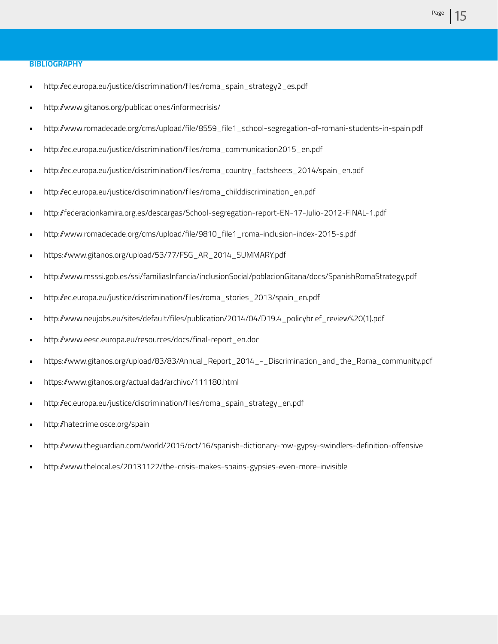- http://ec.europa.eu/justice/discrimination/files/roma\_spain\_strategy2\_es.pdf
- http://www.gitanos.org/publicaciones/informecrisis/
- http://www.romadecade.org/cms/upload/file/8559\_file1\_school-segregation-of-romani-students-in-spain.pdf
- http://ec.europa.eu/justice/discrimination/files/roma\_communication2015\_en.pdf
- http://ec.europa.eu/justice/discrimination/files/roma\_country\_factsheets\_2014/spain\_en.pdf
- http://ec.europa.eu/justice/discrimination/files/roma\_childdiscrimination\_en.pdf
- http://federacionkamira.org.es/descargas/School-segregation-report-EN-17-Julio-2012-FINAL-1.pdf
- http://www.romadecade.org/cms/upload/file/9810\_file1\_roma-inclusion-index-2015-s.pdf
- https://www.gitanos.org/upload/53/77/FSG\_AR\_2014\_SUMMARY.pdf
- http://www.msssi.gob.es/ssi/familiasInfancia/inclusionSocial/poblacionGitana/docs/SpanishRomaStrategy.pdf
- http://ec.europa.eu/justice/discrimination/files/roma\_stories\_2013/spain\_en.pdf
- http://www.neujobs.eu/sites/default/files/publication/2014/04/D19.4\_policybrief\_review%20(1).pdf
- http://www.eesc.europa.eu/resources/docs/final-report\_en.doc
- https://www.gitanos.org/upload/83/83/Annual\_Report\_2014\_-\_Discrimination\_and\_the\_Roma\_community.pdf
- https://www.gitanos.org/actualidad/archivo/111180.html
- http://ec.europa.eu/justice/discrimination/files/roma\_spain\_strategy\_en.pdf
- http://hatecrime.osce.org/spain
- http://www.theguardian.com/world/2015/oct/16/spanish-dictionary-row-gypsy-swindlers-definition-offensive
- http://www.thelocal.es/20131122/the-crisis-makes-spains-gypsies-even-more-invisible